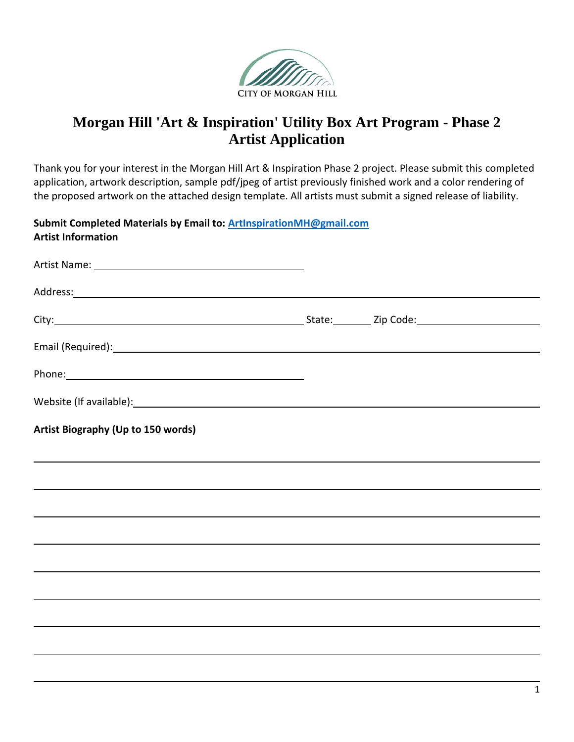

# **Morgan Hill 'Art & Inspiration' Utility Box Art Program - Phase 2 Artist Application**

Thank you for your interest in the Morgan Hill Art & Inspiration Phase 2 project. Please submit this completed application, artwork description, sample pdf/jpeg of artist previously finished work and a color rendering of the proposed artwork on the attached design template. All artists must submit a signed release of liability.

**Submit Completed Materials by Email to: [ArtInspirationMH@gmail.com](mailto:ArtInspirationMH@gmail.com) Artist Information**

| Artist Biography (Up to 150 words)                                               |  |  |
|----------------------------------------------------------------------------------|--|--|
| ,我们也不会有什么?""我们的人,我们也不会有什么?""我们的人,我们也不会有什么?""我们的人,我们也不会有什么?""我们的人,我们也不会有什么?""我们的人 |  |  |
|                                                                                  |  |  |
| ,我们也不会有什么。""我们的人,我们也不会有什么?""我们的人,我们也不会有什么?""我们的人,我们也不会有什么?""我们的人,我们也不会有什么?""我们的人 |  |  |
|                                                                                  |  |  |
|                                                                                  |  |  |
|                                                                                  |  |  |
|                                                                                  |  |  |
|                                                                                  |  |  |
|                                                                                  |  |  |